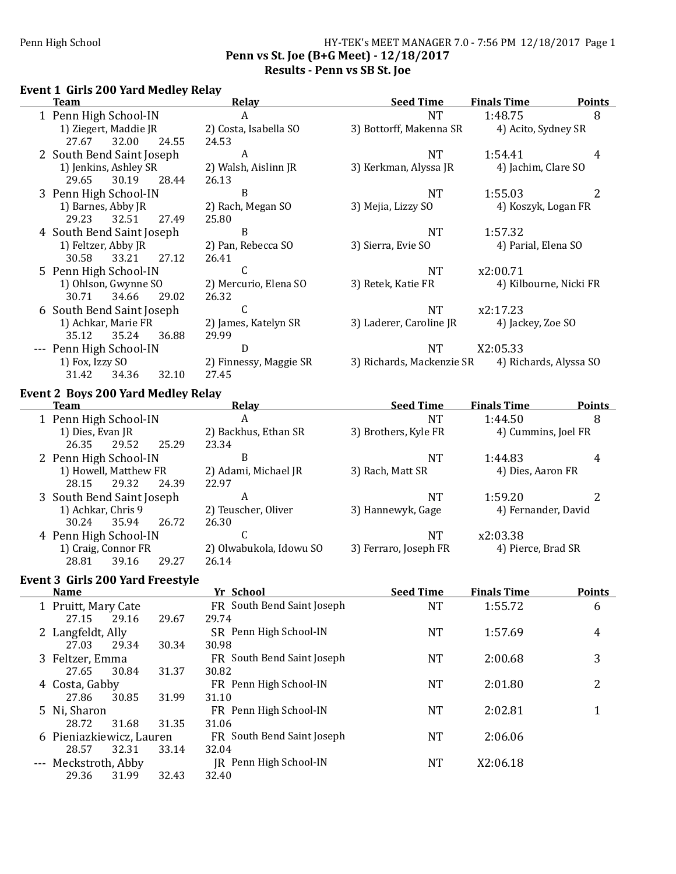## Penn High School **HY-TEK's MEET MANAGER** 7.0 - 7:56 PM 12/18/2017 Page 1 Penn vs St. Joe (B+G Meet) - 12/18/2017 Results - Penn vs SB St. Joe

# Event 1 Girls 200 Yard Medley Relay

| Team                      | Relay                  | <b>Seed Time</b>          | <b>Finals Time</b>     | <b>Points</b> |
|---------------------------|------------------------|---------------------------|------------------------|---------------|
| 1 Penn High School-IN     | A                      | <b>NT</b>                 | 1:48.75                | 8             |
| 1) Ziegert, Maddie JR     | 2) Costa, Isabella SO  | 3) Bottorff, Makenna SR   | 4) Acito, Sydney SR    |               |
| 32.00<br>27.67<br>24.55   | 24.53                  |                           |                        |               |
| 2 South Bend Saint Joseph | A                      | <b>NT</b>                 | 1:54.41                | 4             |
| 1) Jenkins, Ashley SR     | 2) Walsh, Aislinn JR   | 3) Kerkman, Alyssa JR     | 4) Jachim, Clare SO    |               |
| 30.19<br>29.65<br>28.44   | 26.13                  |                           |                        |               |
| 3 Penn High School-IN     | B                      | <b>NT</b>                 | 1:55.03                |               |
| 1) Barnes, Abby JR        | 2) Rach, Megan SO      | 3) Mejia, Lizzy SO        | 4) Koszyk, Logan FR    |               |
| 32.51<br>29.23<br>27.49   | 25.80                  |                           |                        |               |
| 4 South Bend Saint Joseph | B                      | <b>NT</b>                 | 1:57.32                |               |
| 1) Feltzer, Abby JR       | 2) Pan, Rebecca SO     | 3) Sierra, Evie SO        | 4) Parial, Elena SO    |               |
| 33.21<br>30.58<br>27.12   | 26.41                  |                           |                        |               |
| 5 Penn High School-IN     | C                      | <b>NT</b>                 | x2:00.71               |               |
| 1) Ohlson, Gwynne SO      | 2) Mercurio, Elena SO  | 3) Retek, Katie FR        | 4) Kilbourne, Nicki FR |               |
| 34.66<br>29.02<br>30.71   | 26.32                  |                           |                        |               |
| 6 South Bend Saint Joseph | C                      | <b>NT</b>                 | x2:17.23               |               |
| 1) Achkar, Marie FR       | 2) James, Katelyn SR   | 3) Laderer, Caroline JR   | 4) Jackey, Zoe SO      |               |
| 35.12<br>35.24<br>36.88   | 29.99                  |                           |                        |               |
| --- Penn High School-IN   | D                      | <b>NT</b>                 | X2:05.33               |               |
| 1) Fox, Izzy SO           | 2) Finnessy, Maggie SR | 3) Richards, Mackenzie SR | 4) Richards, Alyssa SO |               |
| 31.42<br>32.10<br>34.36   | 27.45                  |                           |                        |               |

# Event 2 Boys 200 Yard Medley Relay

| <b>Team</b>               | <b>Relav</b>            | <b>Seed Time</b>      | <b>Finals Time</b>  | <b>Points</b> |
|---------------------------|-------------------------|-----------------------|---------------------|---------------|
| 1 Penn High School-IN     | A                       | <b>NT</b>             | 1:44.50             | 8             |
| 1) Dies, Evan JR          | 2) Backhus, Ethan SR    | 3) Brothers, Kyle FR  | 4) Cummins, Joel FR |               |
| 25.29<br>26.35<br>29.52   | 23.34                   |                       |                     |               |
| 2 Penn High School-IN     | B                       | <b>NT</b>             | 1:44.83             | 4             |
| 1) Howell, Matthew FR     | 2) Adami, Michael JR    | 3) Rach, Matt SR      | 4) Dies, Aaron FR   |               |
| 29.32<br>24.39<br>28.15   | 22.97                   |                       |                     |               |
| 3 South Bend Saint Joseph | A                       | <b>NT</b>             | 1:59.20             |               |
| 1) Achkar, Chris 9        | 2) Teuscher, Oliver     | 3) Hannewyk, Gage     | 4) Fernander, David |               |
| 30.24<br>35.94<br>26.72   | 26.30                   |                       |                     |               |
| 4 Penn High School-IN     | C                       | <b>NT</b>             | x2:03.38            |               |
| 1) Craig, Connor FR       | 2) Olwabukola, Idowu SO | 3) Ferraro, Joseph FR | 4) Pierce, Brad SR  |               |
| 28.81<br>39.16<br>29.27   | 26.14                   |                       |                     |               |

# Event 3 Girls 200 Yard Freestyle

| <b>Name</b>              |       |       | Yr School                  | <b>Seed Time</b> | <b>Finals Time</b> | <b>Points</b> |
|--------------------------|-------|-------|----------------------------|------------------|--------------------|---------------|
| 1 Pruitt, Mary Cate      |       |       | FR South Bend Saint Joseph | NT               | 1:55.72            | 6             |
| 27.15                    | 29.16 | 29.67 | 29.74                      |                  |                    |               |
| 2 Langfeldt, Ally        |       |       | SR Penn High School-IN     | NT               | 1:57.69            | 4             |
| 27.03                    | 29.34 | 30.34 | 30.98                      |                  |                    |               |
| 3 Feltzer, Emma          |       |       | FR South Bend Saint Joseph | NT               | 2:00.68            | 3             |
| 27.65                    | 30.84 | 31.37 | 30.82                      |                  |                    |               |
| 4 Costa, Gabby           |       |       | FR Penn High School-IN     | NT               | 2:01.80            | 2             |
| 27.86                    | 30.85 | 31.99 | 31.10                      |                  |                    |               |
| 5 Ni, Sharon             |       |       | FR Penn High School-IN     | NT               | 2:02.81            |               |
| 28.72                    | 31.68 | 31.35 | 31.06                      |                  |                    |               |
| 6 Pieniazkiewicz, Lauren |       |       | FR South Bend Saint Joseph | NT               | 2:06.06            |               |
| 28.57                    | 32.31 | 33.14 | 32.04                      |                  |                    |               |
| --- Meckstroth, Abby     |       |       | JR Penn High School-IN     | <b>NT</b>        | X2:06.18           |               |
| 29.36                    | 31.99 | 32.43 | 32.40                      |                  |                    |               |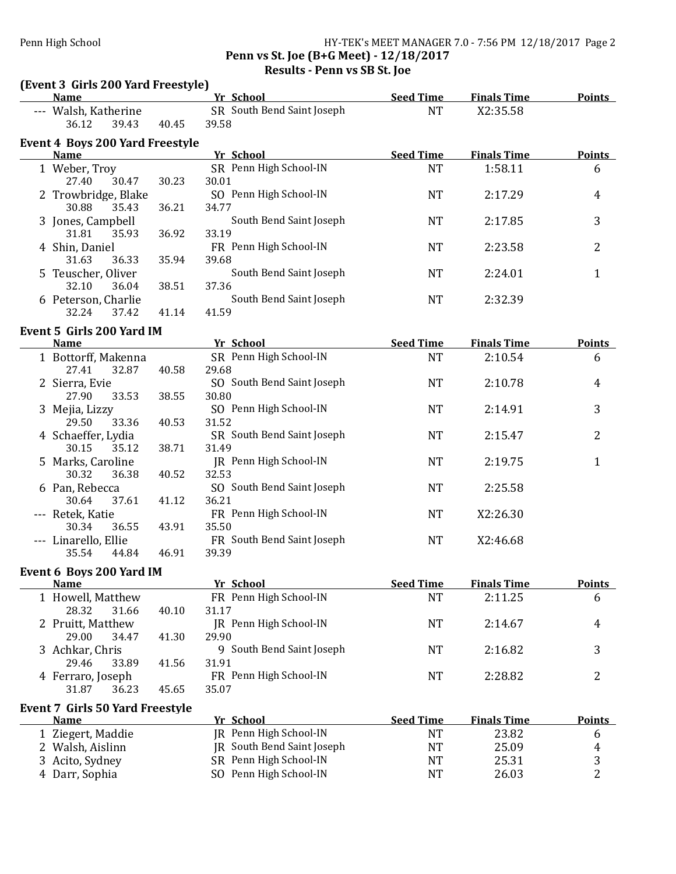## Penn High School HY-TEK's MEET MANAGER 7.0 - 7:56 PM 12/18/2017 Page 2 Penn vs St. Joe (B+G Meet) - 12/18/2017 Results - Penn vs SB St. Joe

| (Event 3 Girls 200 Yard Freestyle)                    |       |                                     |                  |                    |                |
|-------------------------------------------------------|-------|-------------------------------------|------------------|--------------------|----------------|
| <b>Name</b>                                           |       | Yr School                           | <b>Seed Time</b> | <b>Finals Time</b> | <b>Points</b>  |
| --- Walsh, Katherine<br>36.12<br>39.43                | 40.45 | SR South Bend Saint Joseph<br>39.58 | <b>NT</b>        | X2:35.58           |                |
| <b>Event 4 Boys 200 Yard Freestyle</b><br><b>Name</b> |       | Yr School                           | <b>Seed Time</b> | <b>Finals Time</b> | Points         |
| 1 Weber, Troy                                         |       | SR Penn High School-IN              | <b>NT</b>        | 1:58.11            | 6              |
| 27.40<br>30.47                                        | 30.23 | 30.01                               |                  |                    |                |
| 2 Trowbridge, Blake                                   |       | SO Penn High School-IN              | <b>NT</b>        | 2:17.29            | 4              |
| 30.88<br>35.43                                        | 36.21 | 34.77                               |                  |                    |                |
| 3 Jones, Campbell                                     |       | South Bend Saint Joseph             | <b>NT</b>        | 2:17.85            | 3              |
| 31.81<br>35.93                                        | 36.92 | 33.19                               |                  |                    |                |
| 4 Shin, Daniel                                        |       | FR Penn High School-IN              | <b>NT</b>        | 2:23.58            | 2              |
| 31.63<br>36.33                                        | 35.94 | 39.68                               |                  |                    |                |
| 5 Teuscher, Oliver                                    |       | South Bend Saint Joseph             | <b>NT</b>        | 2:24.01            | $\mathbf{1}$   |
| 32.10<br>36.04                                        | 38.51 | 37.36                               |                  |                    |                |
| 6 Peterson, Charlie                                   |       | South Bend Saint Joseph             | <b>NT</b>        | 2:32.39            |                |
| 32.24<br>37.42                                        | 41.14 | 41.59                               |                  |                    |                |
| Event 5 Girls 200 Yard IM                             |       |                                     |                  |                    |                |
| <b>Name</b>                                           |       | Yr School                           | <b>Seed Time</b> | <b>Finals Time</b> | <b>Points</b>  |
| 1 Bottorff, Makenna                                   |       | SR Penn High School-IN              | <b>NT</b>        | 2:10.54            | 6              |
| 27.41<br>32.87                                        | 40.58 | 29.68                               |                  |                    |                |
| 2 Sierra, Evie                                        |       | SO South Bend Saint Joseph          | <b>NT</b>        | 2:10.78            | 4              |
| 27.90<br>33.53                                        | 38.55 | 30.80                               |                  |                    |                |
| 3 Mejia, Lizzy                                        |       | SO Penn High School-IN              | <b>NT</b>        | 2:14.91            | 3              |
| 29.50<br>33.36                                        | 40.53 | 31.52                               |                  |                    |                |
| 4 Schaeffer, Lydia                                    |       | SR South Bend Saint Joseph          | <b>NT</b>        | 2:15.47            | 2              |
| 30.15<br>35.12                                        | 38.71 | 31.49                               |                  |                    |                |
| 5 Marks, Caroline                                     |       | JR Penn High School-IN              | <b>NT</b>        | 2:19.75            | $\mathbf{1}$   |
| 30.32<br>36.38                                        | 40.52 | 32.53                               |                  |                    |                |
| 6 Pan, Rebecca                                        |       | SO South Bend Saint Joseph          | <b>NT</b>        | 2:25.58            |                |
| 30.64<br>37.61                                        | 41.12 | 36.21                               |                  |                    |                |
| --- Retek, Katie                                      |       | FR Penn High School-IN              | <b>NT</b>        | X2:26.30           |                |
| 30.34<br>36.55                                        | 43.91 | 35.50                               |                  |                    |                |
| --- Linarello, Ellie                                  |       | FR South Bend Saint Joseph          | <b>NT</b>        | X2:46.68           |                |
| 35.54<br>44.84                                        | 46.91 | 39.39                               |                  |                    |                |
| Event 6 Boys 200 Yard IM                              |       |                                     |                  |                    |                |
| <b>Name</b>                                           |       | Yr School                           | <b>Seed Time</b> | <b>Finals Time</b> | <b>Points</b>  |
| 1 Howell, Matthew                                     |       | FR Penn High School-IN              | <b>NT</b>        | 2:11.25            | 6              |
| 28.32<br>31.66                                        | 40.10 | 31.17                               |                  |                    |                |
| 2 Pruitt, Matthew                                     |       | JR Penn High School-IN              | <b>NT</b>        | 2:14.67            | 4              |
| 29.00<br>34.47                                        | 41.30 | 29.90                               |                  |                    |                |
| 3 Achkar, Chris                                       |       | 9 South Bend Saint Joseph           | <b>NT</b>        | 2:16.82            | 3              |
| 29.46<br>33.89                                        | 41.56 | 31.91                               |                  |                    |                |
| 4 Ferraro, Joseph                                     |       | FR Penn High School-IN              | <b>NT</b>        | 2:28.82            | 2              |
| 31.87<br>36.23                                        | 45.65 | 35.07                               |                  |                    |                |
| <b>Event 7 Girls 50 Yard Freestyle</b>                |       |                                     |                  |                    |                |
| <b>Name</b>                                           |       | Yr School                           | <b>Seed Time</b> | <b>Finals Time</b> | <b>Points</b>  |
| 1 Ziegert, Maddie                                     |       | JR Penn High School-IN              | <b>NT</b>        | 23.82              | 6              |
| 2 Walsh, Aislinn                                      |       | JR South Bend Saint Joseph          | <b>NT</b>        | 25.09              | 4              |
| 3 Acito, Sydney                                       |       | SR Penn High School-IN              | <b>NT</b>        | 25.31              | 3              |
| 4 Darr, Sophia                                        |       | SO Penn High School-IN              | <b>NT</b>        | 26.03              | $\overline{2}$ |
|                                                       |       |                                     |                  |                    |                |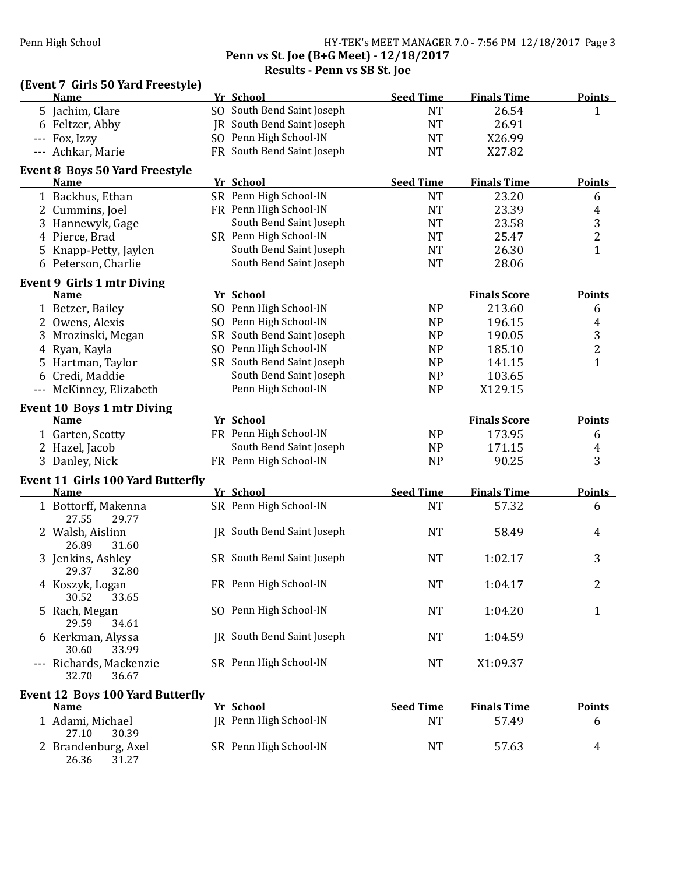## Penn High School **Fight** School **HY-TEK's** MEET MANAGER 7.0 - 7:56 PM 12/18/2017 Page 3 Penn vs St. Joe (B+G Meet) - 12/18/2017 Results - Penn vs SB St. Joe

| (Event 7 Girls 50 Yard Freestyle)                       |                            |                  |                     |                |
|---------------------------------------------------------|----------------------------|------------------|---------------------|----------------|
| <b>Name</b>                                             | Yr School                  | <b>Seed Time</b> | <b>Finals Time</b>  | <b>Points</b>  |
| 5 Jachim, Clare                                         | SO South Bend Saint Joseph | <b>NT</b>        | 26.54               | 1              |
| 6 Feltzer, Abby                                         | JR South Bend Saint Joseph | <b>NT</b>        | 26.91               |                |
| --- Fox, Izzy                                           | SO Penn High School-IN     | <b>NT</b>        | X26.99              |                |
| --- Achkar, Marie                                       | FR South Bend Saint Joseph | <b>NT</b>        | X27.82              |                |
| <b>Event 8 Boys 50 Yard Freestyle</b><br><b>Name</b>    | Yr School                  | <b>Seed Time</b> | <b>Finals Time</b>  | <b>Points</b>  |
| 1 Backhus, Ethan                                        | SR Penn High School-IN     | <b>NT</b>        | 23.20               | 6              |
| 2 Cummins, Joel                                         | FR Penn High School-IN     | <b>NT</b>        | 23.39               | $\overline{4}$ |
| 3 Hannewyk, Gage                                        | South Bend Saint Joseph    | <b>NT</b>        | 23.58               | $\overline{3}$ |
| 4 Pierce, Brad                                          | SR Penn High School-IN     | <b>NT</b>        | 25.47               | $\overline{c}$ |
| Knapp-Petty, Jaylen<br>5                                | South Bend Saint Joseph    | <b>NT</b>        | 26.30               | $\mathbf{1}$   |
| 6 Peterson, Charlie                                     | South Bend Saint Joseph    | <b>NT</b>        | 28.06               |                |
|                                                         |                            |                  |                     |                |
| Event 9 Girls 1 mtr Diving<br><b>Name</b>               | Yr School                  |                  | <b>Finals Score</b> | <b>Points</b>  |
| 1 Betzer, Bailey                                        | SO Penn High School-IN     | <b>NP</b>        | 213.60              | 6              |
| 2 Owens, Alexis                                         | SO Penn High School-IN     | <b>NP</b>        | 196.15              | $\overline{4}$ |
| 3<br>Mrozinski, Megan                                   | SR South Bend Saint Joseph | <b>NP</b>        | 190.05              |                |
| Ryan, Kayla<br>4                                        | SO Penn High School-IN     | <b>NP</b>        | 185.10              | $\frac{3}{2}$  |
| 5 Hartman, Taylor                                       | SR South Bend Saint Joseph | <b>NP</b>        | 141.15              | $\overline{1}$ |
| Credi, Maddie<br>6                                      | South Bend Saint Joseph    | NP               | 103.65              |                |
| --- McKinney, Elizabeth                                 | Penn High School-IN        | <b>NP</b>        | X129.15             |                |
|                                                         |                            |                  |                     |                |
| <b>Event 10 Boys 1 mtr Diving</b><br><b>Name</b>        | Yr School                  |                  | <b>Finals Score</b> | <b>Points</b>  |
| 1 Garten, Scotty                                        | FR Penn High School-IN     | <b>NP</b>        | 173.95              | 6              |
| 2 Hazel, Jacob                                          | South Bend Saint Joseph    | <b>NP</b>        | 171.15              | $\overline{4}$ |
| 3 Danley, Nick                                          | FR Penn High School-IN     | <b>NP</b>        | 90.25               | 3              |
|                                                         |                            |                  |                     |                |
| <b>Event 11 Girls 100 Yard Butterfly</b><br><b>Name</b> | Yr School                  | <b>Seed Time</b> | <b>Finals Time</b>  | <b>Points</b>  |
| 1 Bottorff, Makenna                                     | SR Penn High School-IN     | <b>NT</b>        | 57.32               | 6              |
| 27.55<br>29.77                                          |                            |                  |                     |                |
| 2 Walsh, Aislinn<br>26.89<br>31.60                      | JR South Bend Saint Joseph | <b>NT</b>        | 58.49               | 4              |
| 3 Jenkins, Ashley                                       | SR South Bend Saint Joseph | <b>NT</b>        | 1:02.17             | 3              |
| 29.37 32.80                                             |                            |                  |                     |                |
| 4 Koszyk, Logan<br>30.52<br>33.65                       | FR Penn High School-IN     | <b>NT</b>        | 1:04.17             | 2              |
| 5 Rach, Megan<br>29.59<br>34.61                         | SO Penn High School-IN     | <b>NT</b>        | 1:04.20             | $\mathbf{1}$   |
| 6 Kerkman, Alyssa<br>30.60<br>33.99                     | JR South Bend Saint Joseph | <b>NT</b>        | 1:04.59             |                |
| --- Richards, Mackenzie<br>32.70<br>36.67               | SR Penn High School-IN     | NT               | X1:09.37            |                |
| <b>Event 12 Boys 100 Yard Butterfly</b><br><b>Name</b>  | Yr School                  | <b>Seed Time</b> | <b>Finals Time</b>  | <b>Points</b>  |
| 1 Adami, Michael                                        | JR Penn High School-IN     | <b>NT</b>        | 57.49               | 6              |
| 27.10<br>30.39                                          |                            |                  |                     |                |
| 2 Brandenburg, Axel<br>26.36<br>31.27                   | SR Penn High School-IN     | <b>NT</b>        | 57.63               | 4              |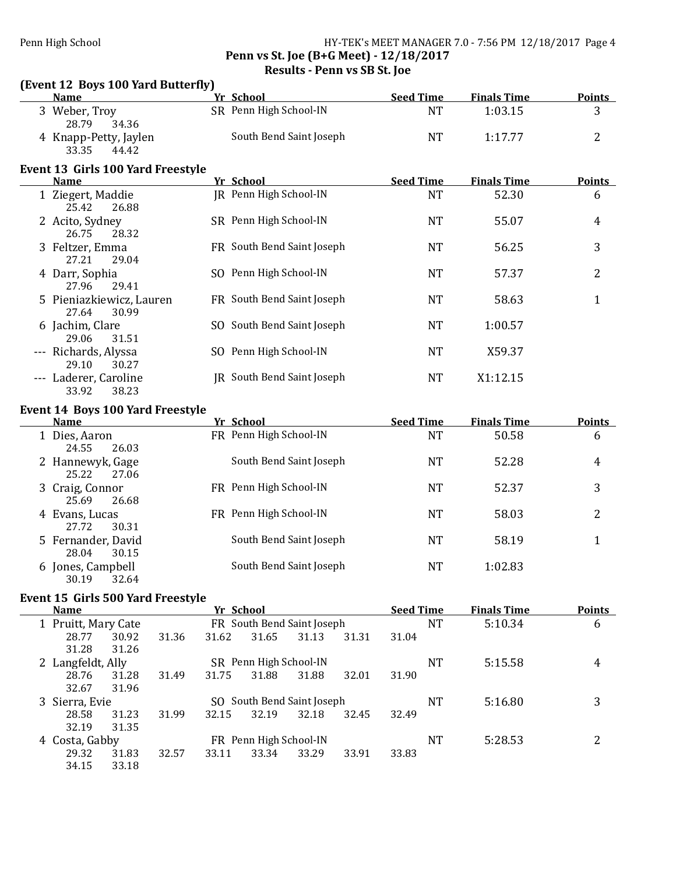## Penn High School **HY-TEK's MEET MANAGER** 7.0 - 7:56 PM 12/18/2017 Page 4 Penn vs St. Joe (B+G Meet) - 12/18/2017 Results - Penn vs SB St. Joe

# (Event 12 Boys 100 Yard Butterfly)

| <b>Name</b>                                               | Yr School               | <b>Seed Time</b> | <b>Finals Time</b> | <b>Points</b> |
|-----------------------------------------------------------|-------------------------|------------------|--------------------|---------------|
| Weber, Troy                                               | SR Penn High School-IN  | <b>NT</b>        | 1:03.15            |               |
| 28.79<br>34.36<br>4 Knapp-Petty, Jaylen<br>33.35<br>44.42 | South Bend Saint Joseph | <b>NT</b>        | 1:17.77            | ∼             |

#### Event 13 Girls 100 Yard Freestyle

| <b>Name</b>                                | Yr School                  | <b>Seed Time</b> | <b>Finals Time</b> | <b>Points</b> |
|--------------------------------------------|----------------------------|------------------|--------------------|---------------|
| 1 Ziegert, Maddie<br>26.88<br>25.42        | IR Penn High School-IN     | <b>NT</b>        | 52.30              | 6             |
| 2 Acito, Sydney<br>26.75<br>28.32          | SR Penn High School-IN     | <b>NT</b>        | 55.07              | 4             |
| 3 Feltzer, Emma<br>27.21<br>29.04          | FR South Bend Saint Joseph | <b>NT</b>        | 56.25              | 3             |
| 4 Darr, Sophia<br>27.96<br>29.41           | SO Penn High School-IN     | <b>NT</b>        | 57.37              | 2             |
| 5 Pieniazkiewicz, Lauren<br>27.64<br>30.99 | FR South Bend Saint Joseph | <b>NT</b>        | 58.63              | 1             |
| 6 Jachim, Clare<br>29.06<br>31.51          | SO South Bend Saint Joseph | <b>NT</b>        | 1:00.57            |               |
| --- Richards, Alyssa<br>29.10<br>30.27     | SO Penn High School-IN     | <b>NT</b>        | X59.37             |               |
| --- Laderer, Caroline<br>33.92<br>38.23    | JR South Bend Saint Joseph | <b>NT</b>        | X1:12.15           |               |

### Event 14 Boys 100 Yard Freestyle

| <b>Name</b>                          | Yr School               | <b>Seed Time</b> | <b>Finals Time</b> | <b>Points</b> |
|--------------------------------------|-------------------------|------------------|--------------------|---------------|
| 1 Dies, Aaron                        | FR Penn High School-IN  | NT               | 50.58              | 6             |
| 26.03<br>24.55<br>2 Hannewyk, Gage   | South Bend Saint Joseph | NT               | 52.28              | 4             |
| 25.22<br>27.06<br>3 Craig, Connor    | FR Penn High School-IN  | NT               | 52.37              | 3             |
| 25.69<br>26.68                       |                         |                  |                    |               |
| 4 Evans, Lucas<br>27.72<br>30.31     | FR Penn High School-IN  | NT               | 58.03              | 2             |
| 5 Fernander, David<br>28.04<br>30.15 | South Bend Saint Joseph | NT               | 58.19              |               |
| 6 Jones, Campbell<br>30.19<br>32.64  | South Bend Saint Joseph | NT               | 1:02.83            |               |
|                                      |                         |                  |                    |               |

### Event 15 Girls 500 Yard Freestyle

| <b>Name</b>       |                | Yr School                  |                        |                            |       | <b>Seed Time</b> | <b>Finals Time</b> | <b>Points</b> |
|-------------------|----------------|----------------------------|------------------------|----------------------------|-------|------------------|--------------------|---------------|
| Pruitt, Mary Cate |                | FR South Bend Saint Joseph |                        |                            |       | NT               | 5:10.34            | 6             |
| 28.77             | 30.92<br>31.36 | 31.62                      | 31.65                  | 31.13                      | 31.31 | 31.04            |                    |               |
| 31.28             | 31.26          |                            |                        |                            |       |                  |                    |               |
| 2 Langfeldt, Ally |                |                            | SR Penn High School-IN |                            |       | NT               | 5:15.58            | 4             |
| 28.76             | 31.28<br>31.49 | 31.75                      | 31.88                  | 31.88                      | 32.01 | 31.90            |                    |               |
| 32.67             | 31.96          |                            |                        |                            |       |                  |                    |               |
| 3 Sierra, Evie    |                |                            |                        | SO South Bend Saint Joseph |       | NT               | 5:16.80            | 3             |
| 28.58             | 31.99<br>31.23 | 32.15                      | 32.19                  | 32.18                      | 32.45 | 32.49            |                    |               |
| 32.19             | 31.35          |                            |                        |                            |       |                  |                    |               |
| 4 Costa, Gabby    |                |                            | FR Penn High School-IN |                            |       | <b>NT</b>        | 5:28.53            | າ             |
| 29.32             | 31.83<br>32.57 | 33.11                      | 33.34                  | 33.29                      | 33.91 | 33.83            |                    |               |
| 34.15             | 33.18          |                            |                        |                            |       |                  |                    |               |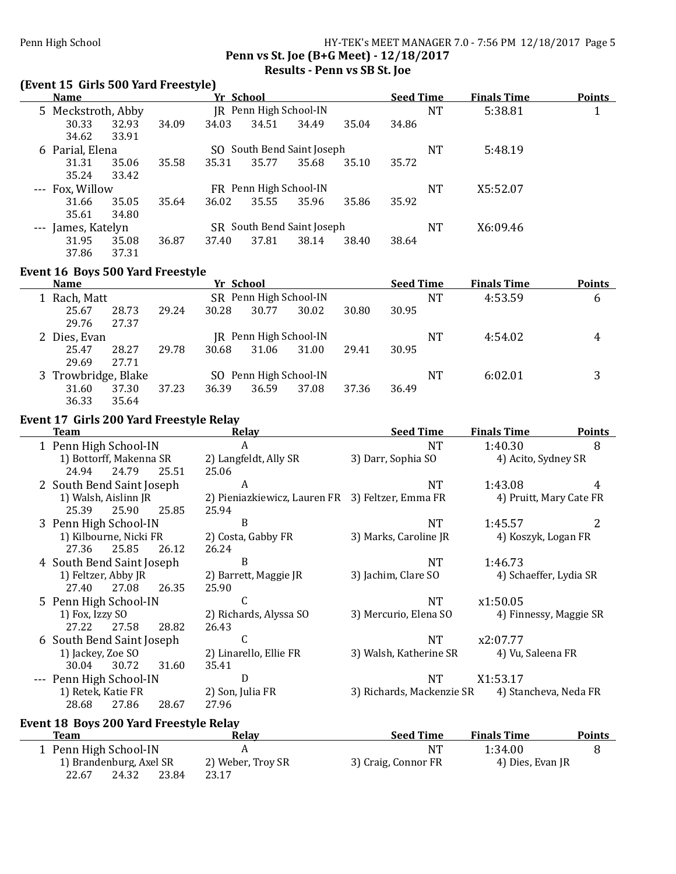## Penn High School **HY-TEK's MEET MANAGER** 7.0 - 7:56 PM 12/18/2017 Page 5 Penn vs St. Joe (B+G Meet) - 12/18/2017 Results - Penn vs SB St. Joe

#### (Event 15 Girls 500 Yard Freestyle)

|       | <b>Name</b>        |       |                        | <u>Yr School</u>           |                        |                            |       | <b>Seed Time</b> |    | <b>Finals Time</b> | <b>Points</b> |
|-------|--------------------|-------|------------------------|----------------------------|------------------------|----------------------------|-------|------------------|----|--------------------|---------------|
|       | 5 Meckstroth, Abby |       | JR Penn High School-IN |                            |                        |                            |       |                  | NT | 5:38.81            |               |
|       | 30.33              | 32.93 | 34.09                  | 34.03                      | 34.51                  | 34.49                      | 35.04 | 34.86            |    |                    |               |
|       | 34.62              | 33.91 |                        |                            |                        |                            |       |                  |    |                    |               |
|       | 6 Parial, Elena    |       |                        |                            |                        | SO South Bend Saint Joseph |       |                  | NT | 5:48.19            |               |
|       | 31.31              | 35.06 | 35.58                  | 35.31                      | 35.77                  | 35.68                      | 35.10 | 35.72            |    |                    |               |
|       | 35.24              | 33.42 |                        |                            |                        |                            |       |                  |    |                    |               |
|       | --- Fox, Willow    |       |                        |                            | FR Penn High School-IN |                            |       |                  | NT | X5:52.07           |               |
|       | 31.66              | 35.05 | 35.64                  | 36.02                      | 35.55                  | 35.96                      | 35.86 | 35.92            |    |                    |               |
|       | 35.61              | 34.80 |                        |                            |                        |                            |       |                  |    |                    |               |
| $---$ | James, Katelyn     |       |                        | SR South Bend Saint Joseph |                        |                            |       |                  | NT | X6:09.46           |               |
|       | 31.95              | 35.08 | 36.87                  | 37.40                      | 37.81                  | 38.14                      | 38.40 | 38.64            |    |                    |               |
|       | 37.86              | 37.31 |                        |                            |                        |                            |       |                  |    |                    |               |
|       |                    |       |                        |                            |                        |                            |       |                  |    |                    |               |

#### Event 16 Boys 500 Yard Freestyle

| <b>Name</b>         |       |       | Yr School              |                               |       |       | <b>Seed Time</b> |           | <b>Finals Time</b> | <b>Points</b> |
|---------------------|-------|-------|------------------------|-------------------------------|-------|-------|------------------|-----------|--------------------|---------------|
| Rach, Matt          |       |       | SR Penn High School-IN |                               |       |       |                  | NT        | 4:53.59            | 6             |
| 25.67               | 28.73 | 29.24 | 30.28                  | 30.77                         | 30.02 | 30.80 | 30.95            |           |                    |               |
| 29.76               | 27.37 |       |                        |                               |       |       |                  |           |                    |               |
| 2 Dies, Evan        |       |       |                        | <b>JR</b> Penn High School-IN |       |       |                  | NT        | 4:54.02            | 4             |
| 25.47               | 28.27 | 29.78 | 30.68                  | 31.06                         | 31.00 | 29.41 | 30.95            |           |                    |               |
| 29.69               | 27.71 |       |                        |                               |       |       |                  |           |                    |               |
| 3 Trowbridge, Blake |       |       |                        | SO Penn High School-IN        |       |       |                  | <b>NT</b> | 6:02.01            | 3             |
| 31.60               | 37.30 | 37.23 | 36.39                  | 36.59                         | 37.08 | 37.36 | 36.49            |           |                    |               |
| 36.33               | 35.64 |       |                        |                               |       |       |                  |           |                    |               |

# Event 17 Girls 200 Yard Freestyle Relay

| <b>Team</b>               | Relav                                            | <b>Seed Time</b>          | <b>Finals Time</b>      | <b>Points</b> |
|---------------------------|--------------------------------------------------|---------------------------|-------------------------|---------------|
| 1 Penn High School-IN     | A                                                | NT                        | 1:40.30                 | 8             |
| 1) Bottorff, Makenna SR   | 2) Langfeldt, Ally SR                            | 3) Darr, Sophia SO        | 4) Acito, Sydney SR     |               |
| 24.79<br>25.51<br>24.94   | 25.06                                            |                           |                         |               |
| 2 South Bend Saint Joseph | A                                                | NT                        | 1:43.08                 | 4             |
| 1) Walsh, Aislinn JR      | 2) Pieniazkiewicz, Lauren FR 3) Feltzer, Emma FR |                           | 4) Pruitt, Mary Cate FR |               |
| 25.90<br>25.39<br>25.85   | 25.94                                            |                           |                         |               |
| 3 Penn High School-IN     | B                                                | NT.                       | 1:45.57                 | 2             |
| 1) Kilbourne, Nicki FR    | 2) Costa, Gabby FR                               | 3) Marks, Caroline JR     | 4) Koszyk, Logan FR     |               |
| 25.85<br>27.36<br>26.12   | 26.24                                            |                           |                         |               |
| 4 South Bend Saint Joseph | B                                                | NT                        | 1:46.73                 |               |
| 1) Feltzer, Abby JR       | 2) Barrett, Maggie JR                            | 3) Jachim, Clare SO       | 4) Schaeffer, Lydia SR  |               |
| 27.40<br>27.08<br>26.35   | 25.90                                            |                           |                         |               |
| 5 Penn High School-IN     | C                                                | NT.                       | x1:50.05                |               |
| 1) Fox, Izzy SO           | 2) Richards, Alyssa SO                           | 3) Mercurio, Elena SO     | 4) Finnessy, Maggie SR  |               |
| 27.22<br>27.58<br>28.82   | 26.43                                            |                           |                         |               |
| 6 South Bend Saint Joseph | C                                                | NT                        | x2:07.77                |               |
| 1) Jackey, Zoe SO         | 2) Linarello, Ellie FR                           | 3) Walsh, Katherine SR    | 4) Vu, Saleena FR       |               |
| 30.72<br>30.04<br>31.60   | 35.41                                            |                           |                         |               |
| --- Penn High School-IN   | D                                                | NT                        | X1:53.17                |               |
| 1) Retek, Katie FR        | 2) Son, Julia FR                                 | 3) Richards, Mackenzie SR | 4) Stancheva, Neda FR   |               |
| 27.86<br>28.68<br>28.67   | 27.96                                            |                           |                         |               |

# Event 18 Boys 200 Yard Freestyle Relay

Ĺ,

| <b>Team</b>             | Relav             | <b>Seed Time</b>    | <b>Finals Time</b> | <b>Points</b> |
|-------------------------|-------------------|---------------------|--------------------|---------------|
| 1 Penn High School-IN   |                   | NΊ                  | 1:34.00            |               |
| 1) Brandenburg, Axel SR | 2) Weber, Troy SR | 3) Craig, Connor FR | 4) Dies, Evan JR   |               |
| 22.67<br>24.32          | 23.84<br>23.17    |                     |                    |               |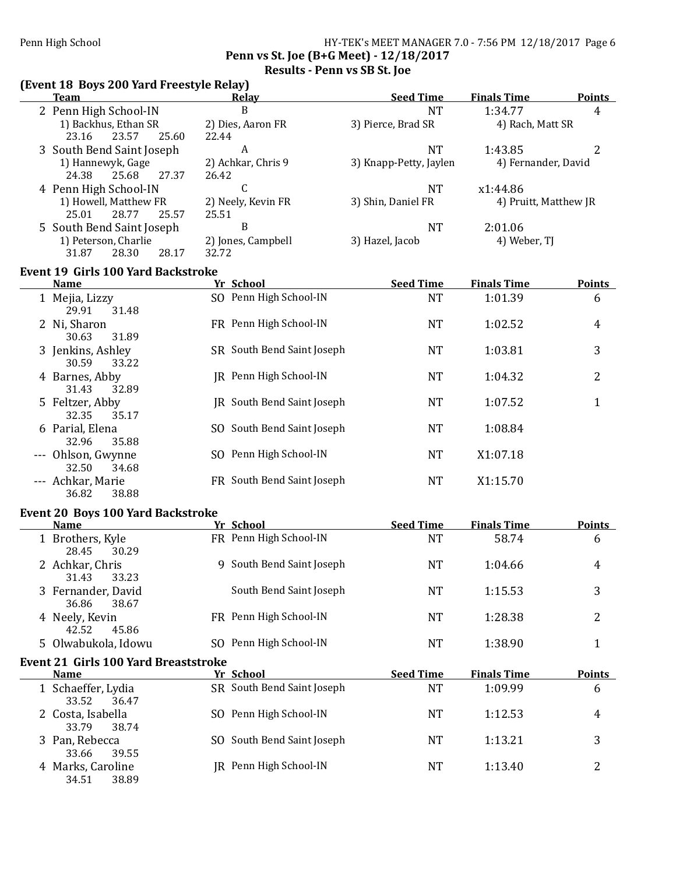## Penn High School **HY-TEK's MEET MANAGER 7.0** - 7:56 PM 12/18/2017 Page 6 Penn vs St. Joe (B+G Meet) - 12/18/2017 Results - Penn vs SB St. Joe

# (Event 18 Boys 200 Yard Freestyle Relay)

| <b>Team</b>                                                |       | <b>Relay</b>                      | <b>Seed Time</b>       | <b>Finals Time</b>    | <b>Points</b>  |
|------------------------------------------------------------|-------|-----------------------------------|------------------------|-----------------------|----------------|
| 2 Penn High School-IN                                      |       | $\mathbf{B}$                      | <b>NT</b>              | 1:34.77               | 4              |
| 1) Backhus, Ethan SR<br>23.57<br>23.16<br>25.60            | 22.44 | 2) Dies, Aaron FR                 | 3) Pierce, Brad SR     | 4) Rach, Matt SR      |                |
| 3 South Bend Saint Joseph                                  |       | $\boldsymbol{A}$                  | <b>NT</b>              | 1:43.85               | $\overline{2}$ |
| 1) Hannewyk, Gage<br>24.38<br>25.68<br>27.37               | 26.42 | 2) Achkar, Chris 9                | 3) Knapp-Petty, Jaylen | 4) Fernander, David   |                |
| 4 Penn High School-IN                                      |       | $\mathsf C$                       | <b>NT</b>              | x1:44.86              |                |
| 1) Howell, Matthew FR<br>25.01<br>28.77<br>25.57           | 25.51 | 2) Neely, Kevin FR                | 3) Shin, Daniel FR     | 4) Pruitt, Matthew JR |                |
| 5 South Bend Saint Joseph                                  |       | $\, {\bf B}$                      | <b>NT</b>              | 2:01.06               |                |
| 1) Peterson, Charlie<br>31.87<br>28.30<br>28.17            | 32.72 | 2) Jones, Campbell                | 3) Hazel, Jacob        | 4) Weber, TJ          |                |
| <b>Event 19 Girls 100 Yard Backstroke</b>                  |       |                                   |                        |                       |                |
| <b>Name</b>                                                |       | Yr School                         | <b>Seed Time</b>       | <b>Finals Time</b>    | <b>Points</b>  |
| 1 Mejia, Lizzy<br>29.91<br>31.48                           |       | SO Penn High School-IN            | <b>NT</b>              | 1:01.39               | 6              |
| 2 Ni, Sharon<br>30.63<br>31.89                             |       | FR Penn High School-IN            | <b>NT</b>              | 1:02.52               | $\overline{4}$ |
| 3 Jenkins, Ashley<br>30.59<br>33.22                        |       | SR South Bend Saint Joseph        | <b>NT</b>              | 1:03.81               | 3              |
| 4 Barnes, Abby<br>31.43<br>32.89                           |       | JR Penn High School-IN            | <b>NT</b>              | 1:04.32               | $\overline{2}$ |
| 5 Feltzer, Abby<br>32.35<br>35.17                          |       | <b>IR</b> South Bend Saint Joseph | <b>NT</b>              | 1:07.52               | 1              |
| 6 Parial, Elena<br>32.96<br>35.88                          |       | SO South Bend Saint Joseph        | <b>NT</b>              | 1:08.84               |                |
| --- Ohlson, Gwynne<br>32.50<br>34.68                       |       | SO Penn High School-IN            | <b>NT</b>              | X1:07.18              |                |
| --- Achkar, Marie<br>38.88<br>36.82                        |       | FR South Bend Saint Joseph        | <b>NT</b>              | X1:15.70              |                |
| <b>Event 20 Boys 100 Yard Backstroke</b>                   |       |                                   |                        |                       |                |
| <b>Name</b>                                                |       | Yr School                         | <b>Seed Time</b>       | <b>Finals Time</b>    | <b>Points</b>  |
| 1 Brothers, Kyle<br>28.45<br>30.29                         |       | FR Penn High School-IN            | <b>NT</b>              | 58.74                 | 6              |
| 2 Achkar, Chris<br>31.43<br>33.23                          |       | 9 South Bend Saint Joseph         | <b>NT</b>              | 1:04.66               | 4              |
| 3 Fernander, David<br>36.86<br>38.67                       |       | South Bend Saint Joseph           | NT                     | 1:15.53               | 3              |
| 4 Neely, Kevin<br>42.52<br>45.86                           |       | FR Penn High School-IN            | <b>NT</b>              | 1:28.38               | 2              |
| 5 Olwabukola, Idowu                                        |       | SO Penn High School-IN            | <b>NT</b>              | 1:38.90               | 1              |
| <b>Event 21 Girls 100 Yard Breaststroke</b><br><b>Name</b> |       | Yr School                         | <b>Seed Time</b>       | <b>Finals Time</b>    | <b>Points</b>  |
| 1 Schaeffer, Lydia                                         |       | SR South Bend Saint Joseph        | <b>NT</b>              | 1:09.99               | 6              |
| 33.52<br>36.47                                             |       |                                   |                        |                       |                |
| 2 Costa, Isabella<br>33.79<br>38.74                        |       | SO Penn High School-IN            | <b>NT</b>              | 1:12.53               | 4              |
| 3 Pan, Rebecca<br>33.66<br>39.55                           |       | SO South Bend Saint Joseph        | <b>NT</b>              | 1:13.21               | 3              |
| 4 Marks, Caroline<br>34.51<br>38.89                        |       | JR Penn High School-IN            | <b>NT</b>              | 1:13.40               | $\overline{2}$ |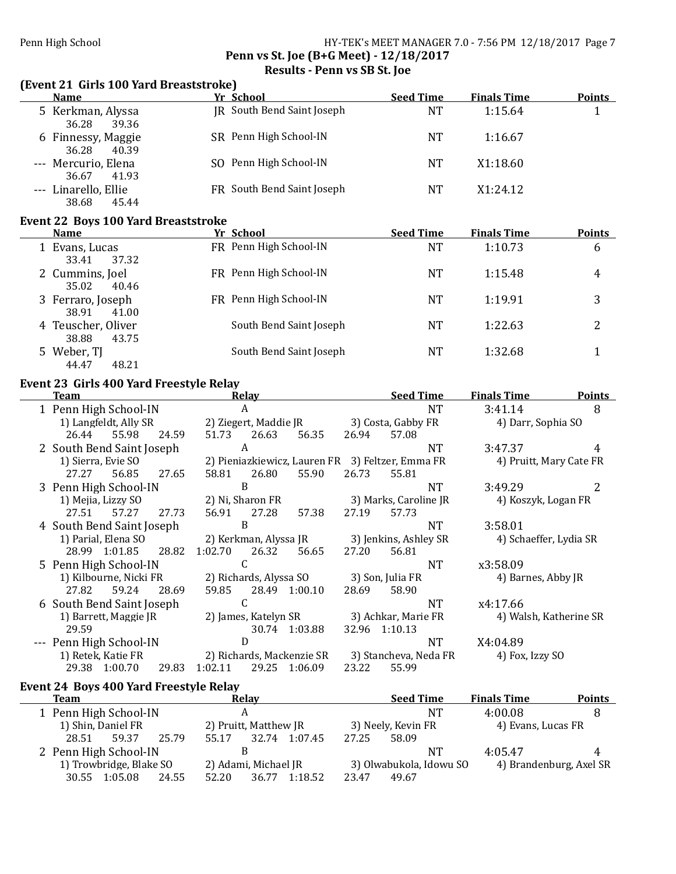## Penn High School **HY-TEK's MEET MANAGER** 7.0 - 7:56 PM 12/18/2017 Page 7 Penn vs St. Joe (B+G Meet) - 12/18/2017 Results - Penn vs SB St. Joe

## (Event 21 Girls 100 Yard Breaststroke)

| <b>Name</b>                            | Yr School                  | <b>Seed Time</b> | <b>Finals Time</b> | <b>Points</b> |
|----------------------------------------|----------------------------|------------------|--------------------|---------------|
| 5 Kerkman, Alyssa<br>36.28<br>39.36    | JR South Bend Saint Joseph | NT               | 1:15.64            |               |
| 6 Finnessy, Maggie<br>40.39<br>36.28   | SR Penn High School-IN     | NT               | 1:16.67            |               |
| --- Mercurio, Elena<br>36.67<br>41.93  | SO Penn High School-IN     | NT               | X1:18.60           |               |
| --- Linarello, Ellie<br>38.68<br>45.44 | FR South Bend Saint Joseph | NT               | X1:24.12           |               |
|                                        |                            |                  |                    |               |

## Event 22 Boys 100 Yard Breaststroke

| <b>Name</b>                          | Yr School               | <b>Seed Time</b> | <b>Finals Time</b> | <b>Points</b> |
|--------------------------------------|-------------------------|------------------|--------------------|---------------|
| 1 Evans, Lucas<br>37.32<br>33.41     | FR Penn High School-IN  | NT               | 1:10.73            | 6             |
| 2 Cummins, Joel<br>35.02<br>40.46    | FR Penn High School-IN  | NT               | 1:15.48            | 4             |
| 3 Ferraro, Joseph<br>38.91<br>41.00  | FR Penn High School-IN  | <b>NT</b>        | 1:19.91            | 3             |
| 4 Teuscher, Oliver<br>38.88<br>43.75 | South Bend Saint Joseph | NT               | 1:22.63            | າ             |
| 5 Weber, TJ<br>44.47<br>48.21        | South Bend Saint Joseph | NT               | 1:32.68            |               |

# Event 23 Girls 400 Yard Freestyle Relay

| Team                      | <b>Relav</b>                                     | <b>Seed Time</b>      | <b>Points</b><br><b>Finals Time</b> |
|---------------------------|--------------------------------------------------|-----------------------|-------------------------------------|
| 1 Penn High School-IN     | A                                                | <b>NT</b>             | 3:41.14<br>8                        |
| 1) Langfeldt, Ally SR     | 2) Ziegert, Maddie JR                            | 3) Costa, Gabby FR    | 4) Darr, Sophia SO                  |
| 55.98<br>24.59<br>26.44   | 51.73<br>26.63<br>56.35                          | 26.94<br>57.08        |                                     |
| 2 South Bend Saint Joseph | A                                                | <b>NT</b>             | 3:47.37<br>4                        |
| 1) Sierra, Evie SO        | 2) Pieniazkiewicz, Lauren FR 3) Feltzer, Emma FR |                       | 4) Pruitt, Mary Cate FR             |
| 27.27<br>56.85<br>27.65   | 26.80<br>55.90<br>58.81                          | 26.73<br>55.81        |                                     |
| 3 Penn High School-IN     | B                                                | <b>NT</b>             | 3:49.29                             |
| 1) Mejia, Lizzy SO        | 2) Ni, Sharon FR                                 | 3) Marks, Caroline JR | 4) Koszyk, Logan FR                 |
| 57.27<br>27.51<br>27.73   | 27.28<br>56.91<br>57.38                          | 27.19<br>57.73        |                                     |
| 4 South Bend Saint Joseph | B                                                | NT.                   | 3:58.01                             |
| 1) Parial, Elena SO       | 2) Kerkman, Alyssa JR                            | 3) Jenkins, Ashley SR | 4) Schaeffer, Lydia SR              |
| 28.99 1:01.85<br>28.82    | 26.32<br>1:02.70<br>56.65                        | 27.20<br>56.81        |                                     |
| 5 Penn High School-IN     |                                                  | NT.                   | x3:58.09                            |
| 1) Kilbourne, Nicki FR    | 2) Richards, Alyssa SO                           | 3) Son, Julia FR      | 4) Barnes, Abby JR                  |
| 27.82<br>59.24<br>28.69   | 28.49 1:00.10<br>59.85                           | 58.90<br>28.69        |                                     |
| 6 South Bend Saint Joseph | C                                                | NT.                   | x4:17.66                            |
| 1) Barrett, Maggie JR     | 2) James, Katelyn SR                             | 3) Achkar, Marie FR   | 4) Walsh, Katherine SR              |
| 29.59                     | 30.74 1:03.88                                    | 32.96 1:10.13         |                                     |
| Penn High School-IN       | D                                                | <b>NT</b>             | X4:04.89                            |
| 1) Retek, Katie FR        | 2) Richards, Mackenzie SR                        | 3) Stancheva, Neda FR | 4) Fox, Izzy SO                     |
| 29.38<br>1:00.70<br>29.83 | 1:02.11<br>29.25<br>1:06.09                      | 55.99<br>23.22        |                                     |
|                           |                                                  |                       |                                     |

# Event 24 Boys 400 Yard Freestyle Relay

| Team                      | <b>Relay</b>              | <b>Seed Time</b>        | <b>Finals Time</b><br><b>Points</b> |
|---------------------------|---------------------------|-------------------------|-------------------------------------|
| 1 Penn High School-IN     |                           | <b>NT</b>               | 4:00.08                             |
| 1) Shin, Daniel FR        | 2) Pruitt, Matthew JR     | 3) Neely, Kevin FR      | 4) Evans, Lucas FR                  |
| 59.37<br>25.79<br>28.51   | 1:07.45<br>55.17<br>32.74 | 27.25<br>58.09          |                                     |
| 2 Penn High School-IN     |                           | NT                      | 4:05.47<br>4                        |
| 1) Trowbridge, Blake SO   | 2) Adami, Michael JR      | 3) Olwabukola, Idowu SO | 4) Brandenburg, Axel SR             |
| 1:05.08<br>24.55<br>30.55 | 1:18.52<br>52.20<br>36.77 | 23.47<br>49.67          |                                     |